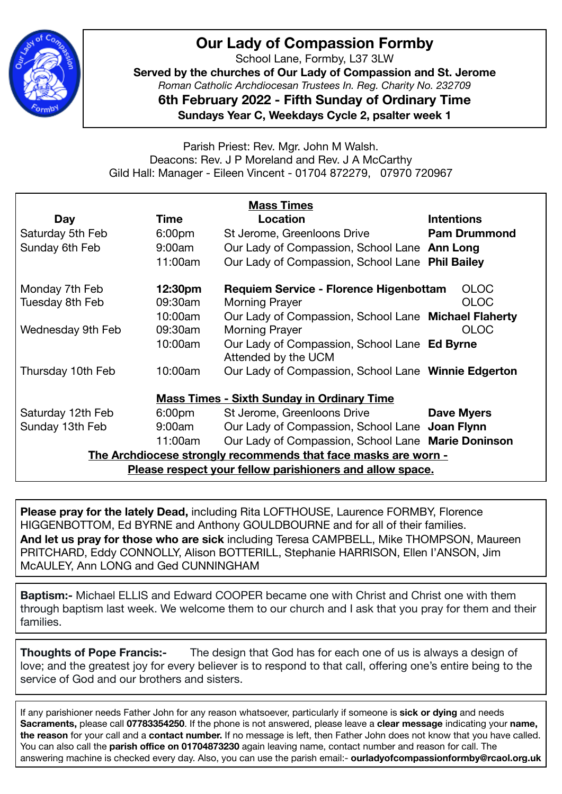

## **Our Lady of Compassion Formby**

School Lane, Formby, L37 3LW

**Served by the churches of Our Lady of Compassion and St. Jerome**  *Roman Catholic Archdiocesan Trustees In. Reg. Charity No. 232709* 

**6th February 2022 - Fifth Sunday of Ordinary Time**

**Sundays Year C, Weekdays Cycle 2, psalter week 1** 

Parish Priest: Rev. Mgr. John M Walsh. Deacons: Rev. J P Moreland and Rev. J A McCarthy Gild Hall: Manager - Eileen Vincent - 01704 872279, 07970 720967

| <b>Mass Times</b>                                              |                    |                                                                     |                     |
|----------------------------------------------------------------|--------------------|---------------------------------------------------------------------|---------------------|
| Day                                                            | Time               | Location                                                            | <b>Intentions</b>   |
| Saturday 5th Feb                                               | 6:00 <sub>pm</sub> | St Jerome, Greenloons Drive                                         | <b>Pam Drummond</b> |
| Sunday 6th Feb                                                 | 9:00am             | Our Lady of Compassion, School Lane Ann Long                        |                     |
|                                                                | 11:00am            | Our Lady of Compassion, School Lane Phil Bailey                     |                     |
| Monday 7th Feb                                                 | 12:30pm            | <b>Requiem Service - Florence Higenbottam</b>                       | <b>OLOC</b>         |
| Tuesday 8th Feb                                                | 09:30am            | <b>Morning Prayer</b>                                               | <b>OLOC</b>         |
|                                                                | 10:00am            | Our Lady of Compassion, School Lane Michael Flaherty                |                     |
| Wednesday 9th Feb                                              | 09:30am            | <b>Morning Prayer</b>                                               | <b>OLOC</b>         |
|                                                                | 10:00am            | Our Lady of Compassion, School Lane Ed Byrne<br>Attended by the UCM |                     |
| Thursday 10th Feb                                              | 10:00am            | Our Lady of Compassion, School Lane Winnie Edgerton                 |                     |
| <b>Mass Times - Sixth Sunday in Ordinary Time</b>              |                    |                                                                     |                     |
| Saturday 12th Feb                                              | 6:00 <sub>pm</sub> | St Jerome, Greenloons Drive                                         | <b>Dave Myers</b>   |
| Sunday 13th Feb                                                | 9:00am             | Our Lady of Compassion, School Lane Joan Flynn                      |                     |
|                                                                | 11:00am            | Our Lady of Compassion, School Lane Marie Doninson                  |                     |
| The Archdiocese strongly recommends that face masks are worn - |                    |                                                                     |                     |
| Please respect your fellow parishioners and allow space.       |                    |                                                                     |                     |

**Please pray for the lately Dead,** including Rita LOFTHOUSE, Laurence FORMBY, Florence HIGGENBOTTOM, Ed BYRNE and Anthony GOULDBOURNE and for all of their families. **And let us pray for those who are sick** including Teresa CAMPBELL, Mike THOMPSON, Maureen PRITCHARD, Eddy CONNOLLY, Alison BOTTERILL, Stephanie HARRISON, Ellen I'ANSON, Jim McAULEY, Ann LONG and Ged CUNNINGHAM

**Baptism:-** Michael ELLIS and Edward COOPER became one with Christ and Christ one with them through baptism last week. We welcome them to our church and I ask that you pray for them and their families.

**Thoughts of Pope Francis:-** The design that God has for each one of us is always a design of love; and the greatest joy for every believer is to respond to that call, offering one's entire being to the service of God and our brothers and sisters.

If any parishioner needs Father John for any reason whatsoever, particularly if someone is **sick or dying** and needs **Sacraments,** please call **07783354250**. If the phone is not answered, please leave a **clear message** indicating your **name, the reason** for your call and a **contact number.** If no message is left, then Father John does not know that you have called. You can also call the **parish office on 01704873230** again leaving name, contact number and reason for call. The answering machine is checked every day. Also, you can use the parish email:- **ourladyofcompassionformby@rcaol.org.uk**